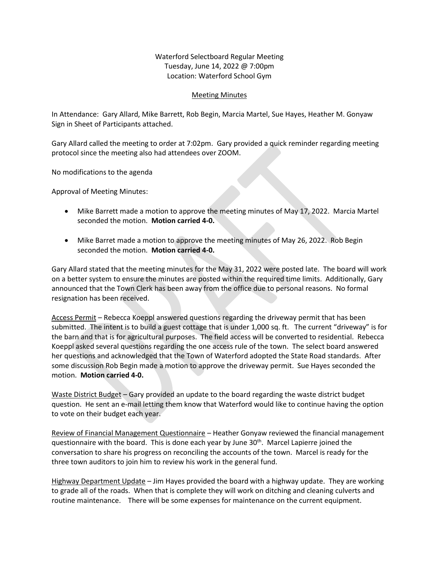Waterford Selectboard Regular Meeting Tuesday, June 14, 2022 @ 7:00pm Location: Waterford School Gym

## Meeting Minutes

In Attendance: Gary Allard, Mike Barrett, Rob Begin, Marcia Martel, Sue Hayes, Heather M. Gonyaw Sign in Sheet of Participants attached.

Gary Allard called the meeting to order at 7:02pm. Gary provided a quick reminder regarding meeting protocol since the meeting also had attendees over ZOOM.

No modifications to the agenda

Approval of Meeting Minutes:

- Mike Barrett made a motion to approve the meeting minutes of May 17, 2022. Marcia Martel seconded the motion. **Motion carried 4-0.**
- Mike Barret made a motion to approve the meeting minutes of May 26, 2022. Rob Begin seconded the motion. **Motion carried 4-0.**

Gary Allard stated that the meeting minutes for the May 31, 2022 were posted late. The board will work on a better system to ensure the minutes are posted within the required time limits. Additionally, Gary announced that the Town Clerk has been away from the office due to personal reasons. No formal resignation has been received.

Access Permit - Rebecca Koeppl answered questions regarding the driveway permit that has been submitted. The intent is to build a guest cottage that is under 1,000 sq. ft. The current "driveway" is for the barn and that is for agricultural purposes. The field access will be converted to residential. Rebecca Koeppl asked several questions regarding the one access rule of the town. The select board answered her questions and acknowledged that the Town of Waterford adopted the State Road standards. After some discussion Rob Begin made a motion to approve the driveway permit. Sue Hayes seconded the motion. **Motion carried 4-0.**

Waste District Budget – Gary provided an update to the board regarding the waste district budget question. He sent an e-mail letting them know that Waterford would like to continue having the option to vote on their budget each year.

Review of Financial Management Questionnaire – Heather Gonyaw reviewed the financial management questionnaire with the board. This is done each year by June  $30<sup>th</sup>$ . Marcel Lapierre joined the conversation to share his progress on reconciling the accounts of the town. Marcel is ready for the three town auditors to join him to review his work in the general fund.

Highway Department Update - Jim Hayes provided the board with a highway update. They are working to grade all of the roads. When that is complete they will work on ditching and cleaning culverts and routine maintenance. There will be some expenses for maintenance on the current equipment.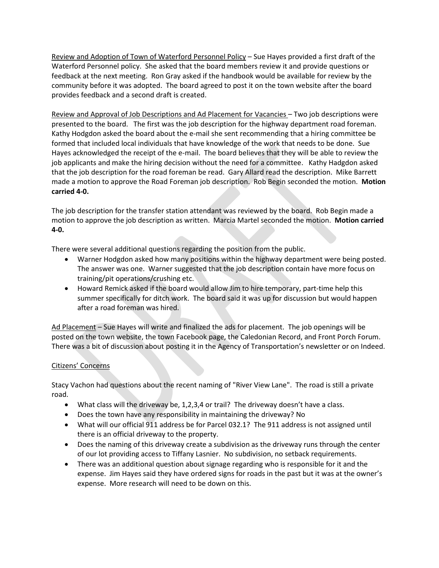Review and Adoption of Town of Waterford Personnel Policy – Sue Hayes provided a first draft of the Waterford Personnel policy. She asked that the board members review it and provide questions or feedback at the next meeting. Ron Gray asked if the handbook would be available for review by the community before it was adopted. The board agreed to post it on the town website after the board provides feedback and a second draft is created.

Review and Approval of Job Descriptions and Ad Placement for Vacancies – Two job descriptions were presented to the board. The first was the job description for the highway department road foreman. Kathy Hodgdon asked the board about the e-mail she sent recommending that a hiring committee be formed that included local individuals that have knowledge of the work that needs to be done. Sue Hayes acknowledged the receipt of the e-mail. The board believes that they will be able to review the job applicants and make the hiring decision without the need for a committee. Kathy Hadgdon asked that the job description for the road foreman be read. Gary Allard read the description. Mike Barrett made a motion to approve the Road Foreman job description. Rob Begin seconded the motion. **Motion carried 4-0.** 

The job description for the transfer station attendant was reviewed by the board. Rob Begin made a motion to approve the job description as written. Marcia Martel seconded the motion. **Motion carried 4-0.**

There were several additional questions regarding the position from the public.

- Warner Hodgdon asked how many positions within the highway department were being posted. The answer was one. Warner suggested that the job description contain have more focus on training/pit operations/crushing etc.
- Howard Remick asked if the board would allow Jim to hire temporary, part-time help this summer specifically for ditch work. The board said it was up for discussion but would happen after a road foreman was hired.

Ad Placement – Sue Hayes will write and finalized the ads for placement. The job openings will be posted on the town website, the town Facebook page, the Caledonian Record, and Front Porch Forum. There was a bit of discussion about posting it in the Agency of Transportation's newsletter or on Indeed.

## Citizens' Concerns

Stacy Vachon had questions about the recent naming of "River View Lane". The road is still a private road.

- What class will the driveway be, 1,2,3,4 or trail? The driveway doesn't have a class.
- Does the town have any responsibility in maintaining the driveway? No
- What will our official 911 address be for Parcel 032.1? The 911 address is not assigned until there is an official driveway to the property.
- Does the naming of this driveway create a subdivision as the driveway runs through the center of our lot providing access to Tiffany Lasnier. No subdivision, no setback requirements.
- There was an additional question about signage regarding who is responsible for it and the expense. Jim Hayes said they have ordered signs for roads in the past but it was at the owner's expense. More research will need to be down on this.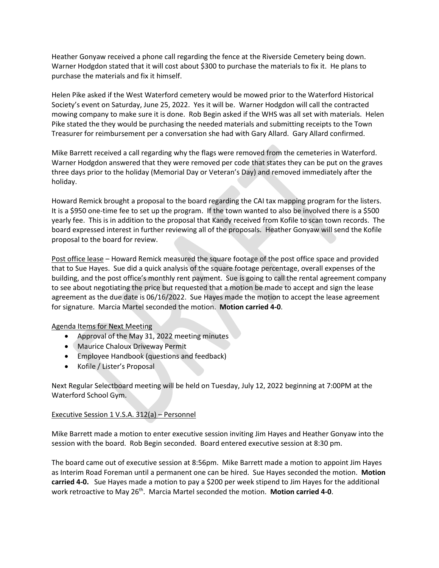Heather Gonyaw received a phone call regarding the fence at the Riverside Cemetery being down. Warner Hodgdon stated that it will cost about \$300 to purchase the materials to fix it. He plans to purchase the materials and fix it himself.

Helen Pike asked if the West Waterford cemetery would be mowed prior to the Waterford Historical Society's event on Saturday, June 25, 2022. Yes it will be. Warner Hodgdon will call the contracted mowing company to make sure it is done. Rob Begin asked if the WHS was all set with materials. Helen Pike stated the they would be purchasing the needed materials and submitting receipts to the Town Treasurer for reimbursement per a conversation she had with Gary Allard. Gary Allard confirmed.

Mike Barrett received a call regarding why the flags were removed from the cemeteries in Waterford. Warner Hodgdon answered that they were removed per code that states they can be put on the graves three days prior to the holiday (Memorial Day or Veteran's Day) and removed immediately after the holiday.

Howard Remick brought a proposal to the board regarding the CAI tax mapping program for the listers. It is a \$950 one-time fee to set up the program. If the town wanted to also be involved there is a \$500 yearly fee. This is in addition to the proposal that Kandy received from Kofile to scan town records. The board expressed interest in further reviewing all of the proposals. Heather Gonyaw will send the Kofile proposal to the board for review.

Post office lease – Howard Remick measured the square footage of the post office space and provided that to Sue Hayes. Sue did a quick analysis of the square footage percentage, overall expenses of the building, and the post office's monthly rent payment. Sue is going to call the rental agreement company to see about negotiating the price but requested that a motion be made to accept and sign the lease agreement as the due date is 06/16/2022. Sue Hayes made the motion to accept the lease agreement for signature. Marcia Martel seconded the motion. **Motion carried 4-0**.

## Agenda Items for Next Meeting

- Approval of the May 31, 2022 meeting minutes
- Maurice Chaloux Driveway Permit
- Employee Handbook (questions and feedback)
- Kofile / Lister's Proposal

Next Regular Selectboard meeting will be held on Tuesday, July 12, 2022 beginning at 7:00PM at the Waterford School Gym.

## Executive Session 1 V.S.A. 312(a) – Personnel

Mike Barrett made a motion to enter executive session inviting Jim Hayes and Heather Gonyaw into the session with the board. Rob Begin seconded. Board entered executive session at 8:30 pm.

The board came out of executive session at 8:56pm. Mike Barrett made a motion to appoint Jim Hayes as Interim Road Foreman until a permanent one can be hired. Sue Hayes seconded the motion. **Motion carried 4-0.** Sue Hayes made a motion to pay a \$200 per week stipend to Jim Hayes for the additional work retroactive to May 26th. Marcia Martel seconded the motion. **Motion carried 4-0**.